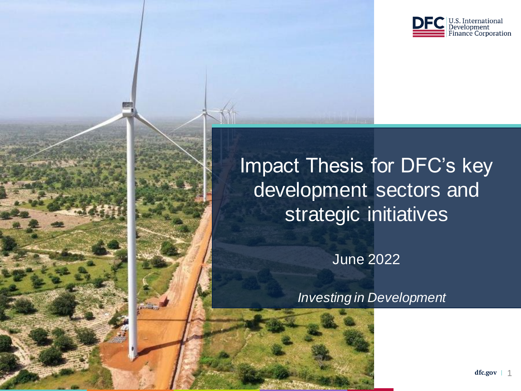

# Impact Thesis for DFC's key development sectors and strategic initiatives

June 2022

*Investing in Development*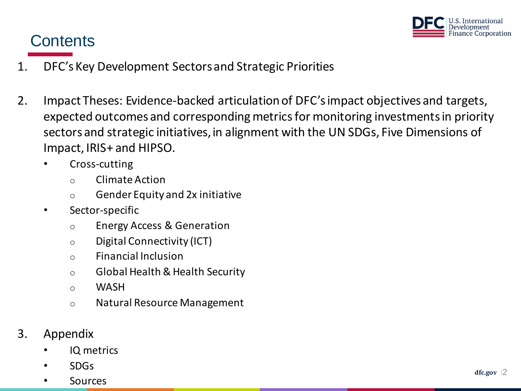

# **Contents**

- 1. DFC's Key Development Sectors and Strategic Priorities
- 2. Impact Theses: Evidence-backed articulation of DFC's impact objectives and targets, expected outcomes and corresponding metrics for monitoring investments in priority sectors and strategic initiatives, in alignment with the UN SDGs, Five Dimensions of Impact, IRIS+ and HIPSO.
	- Cross-cutting
		- o Climate Action
		- o Gender Equity and 2x initiative
	- Sector-specific
		- o Energy Access & Generation
		- o Digital Connectivity (ICT)
		- o Financial Inclusion
		- o Global Health & Health Security
		- o WASH
		- o Natural Resource Management
- 3. Appendix
	- IQ metrics
	- SDGs
	- **Sources**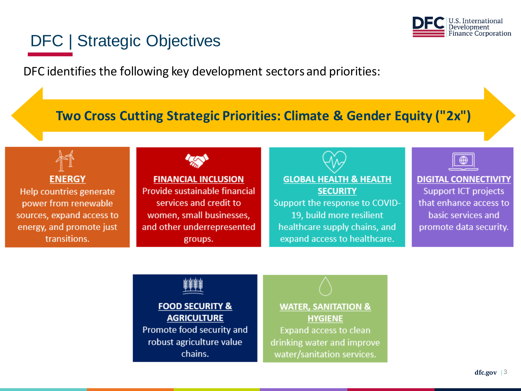

# DFC | Strategic Objectives

DFC identifies the following key development sectors and priorities:

## **Two Cross Cutting Strategic Priorities: Climate & Gender Equity ("2x")**

**ENERGY** 

Help countries generate power from renewable sources, expand access to energy, and promote just transitions.



**FINANCIAL INCLUSION** Provide sustainable financial services and credit to women, small businesses, and other underrepresented groups.

**GLOBAL HEALTH & HEALTH SECURITY** Support the response to COVID-19, build more resilient healthcare supply chains, and expand access to healthcare.



**DIGITAL CONNECTIVITY Support ICT projects** that enhance access to basic services and promote data security.



**FOOD SECURITY & AGRICULTURE** Promote food security and robust agriculture value chains.

**WATER, SANITATION & HYGIENE Expand access to clean** drinking water and improve water/sanitation services.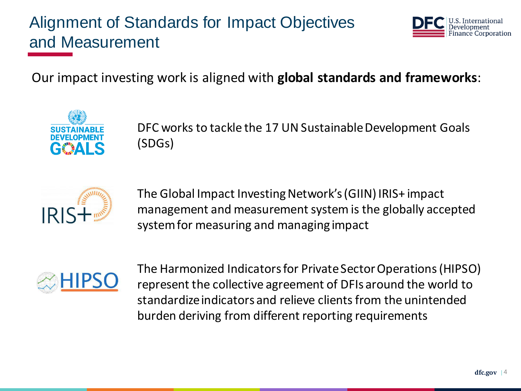# Alignment of Standards for Impact Objectives and Measurement



Our impact investing work is aligned with **global standards and frameworks**:



DFC works to tackle the 17 UN Sustainable Development Goals (SDGs)



The Global Impact Investing Network's (GIIN) IRIS+ impact management and measurement system is the globally accepted system for measuring and managing impact



The Harmonized Indicators for Private Sector Operations (HIPSO) represent the collective agreement of DFIs around the world to standardize indicators and relieve clients from the unintended burden deriving from different reporting requirements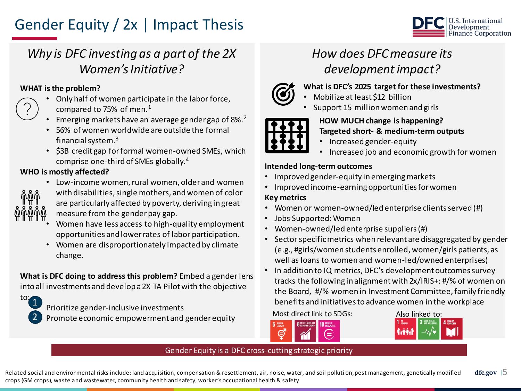# Gender Equity / 2x | Impact Thesis



# *Why is DFC investing as a part of the 2X Women's Initiative?*

#### **WHAT is the problem?**

- Only half of women participate in the labor force, compared to 75% of men.<sup>1</sup>
- Emerging markets have an average gender gap of 8%.<sup>2</sup>
- 56% of women worldwide are outside the formal financial system. $3$
- \$3B credit gap for formal women-owned SMEs, which comprise one-third of SMEs globally.<sup>4</sup>

#### **WHO is mostly affected?**



- Low-income women, rural women, older and women with disabilities, single mothers, and women of color are particularly affected by poverty, deriving in great measure from the gender pay gap.
- Women have less access to high-quality employment opportunities and lower rates of labor participation.
- Women are disproportionately impacted by climate change.

**What is DFC doing to address this problem?** Embed a gender lens into all investments and develop a 2X TA Pilot with the objective



Prioritize gender-inclusive investments Promote economic empowerment and gender equity

# *How does DFC measure its development impact?*



- **What is DFC's 2025 target for these investments?**
- Mobilize at least \$12 billion
- Support 15 million women and girls



#### **HOW MUCH change is happening? Targeted short- & medium-term outputs**

- Increased gender-equity
- Increased job and economic growth for women

#### **Intended long-term outcomes**

- Improved gender-equity in emerging markets
- Improved income-earning opportunities for women

#### **Key metrics**

- Women or women-owned/led enterprise clients served (#)
- Jobs Supported: Women
- Women-owned/led enterprise suppliers (#)
- Sector specific metrics when relevant are disaggregated by gender (e.g., #girls/women students enrolled, women/girls patients, as well as loans to women and women-led/owned enterprises)
- In addition to IQ metrics, DFC's development outcomes survey tracks the following in alignment with 2x/IRIS+: #/% of women on the Board, #/% women in Investment Committee, family friendly benefits and initiatives to advance women in the workplace





#### Gender Equity is a DFC cross-cutting strategic priority

 $dfc.gov$  |  $5$ Related social and environmental risks include: land acquisition, compensation & resettlement, air, noise, water, and soil polluti on,pest management, genetically modified crops (GM crops), waste and wastewater, community health and safety, worker's occupational health & safety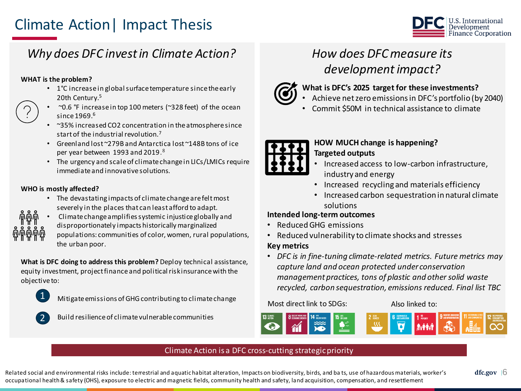# Climate Action| Impact Thesis



### *Why does DFC invest in Climate Action?*

#### **WHAT is the problem?**

- 1°C increase in global surface temperature since the early 20th Century.<sup>5</sup>
- ~0.6 °F increase in top 100 meters (~328 feet) of the ocean since  $1969<sup>6</sup>$
- ~35% increased CO2 concentration in the atmosphere since start of the industrial revolution.<sup>7</sup>
- Greenland lost ~279B and Antarctica lost ~148B tons of ice per year between 1993 and 2019.<sup>8</sup>
- The urgency and scale of climate change in LICs/LMICs require immediate and innovative solutions.

#### **WHO is mostly affected?**

- The devastating impacts of climate change are felt most severely in the places that can least afford to adapt.
- Climate change amplifies systemic injustice globally and disproportionately impacts historically marginalized
	- populations: communities of color, women, rural populations, the urban poor.

**What is DFC doing to address this problem?** Deploy technical assistance, equity investment, project finance and political risk insurance with the objective to:



Mitigate emissions of GHG contributing to climate change



Build resilience of climate vulnerable communities

# *How does DFC measure its development impact?*



- **What is DFC's 2025 target for these investments?**
- Achieve net zero emissions in DFC's portfolio (by 2040)
- Commit \$50M in technical assistance to climate



#### **HOW MUCH change is happening? Targeted outputs**

- Increased access to low-carbon infrastructure, industry and energy
- Increased recycling and materials efficiency
- Increased carbon sequestration in natural climate solutions

#### **Intended long-term outcomes**

- Reduced GHG emissions
- Reduced vulnerability to climate shocks and stresses

#### **Key metrics**

• *DFC is in fine-tuning climate-related metrics. Future metrics may capture land and ocean protected under conservation management practices, tons of plastic and other solid waste recycled, carbon sequestration, emissions reduced. Final list TBC*

#### Most direct link to SDGs: Also linked to:



#### Climate Action is a DFC cross-cutting strategic priority

Related social and environmental risks include: terrestrial and aquatic habitat alteration, Impacts on biodiversity, birds, and ba ts, use of hazardous materials, worker's occupational health & safety (OHS), exposure to electric and magnetic fields, community health and safety, land acquisition, compensation, and resettlement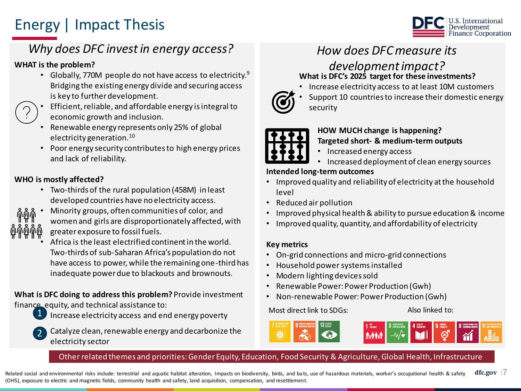# Energy | Impact Thesis



## *Why does DFC invest in energy access? How does DFC measure its*

#### **WHAT is the problem?**

• Globally, 770M people do not have access to electricity.<sup>9</sup> Bridging the existing energy divide and securing access is key to further development.



- Efficient, reliable, and affordable energy is integral to economic growth and inclusion.
- Renewable energy represents only 25% of global electricity generation.<sup>10</sup>
- Poor energy security contributes to high energy prices and lack of reliability.

#### **WHO is mostly affected?**

• Two-thirds of the rural population (458M) in least developed countries have no electricity access.



• Minority groups, often communities of color, and

women and girls are disproportionately affected, with greater exposure to fossil fuels.

• Africa is the least electrified continent in the world. Two-thirds of sub-Saharan Africa's population do not have access to power, while the remaining one-third has inadequate power due to blackouts and brownouts.

**What is DFC doing to address this problem?** Provide investment finance, equity, and technical assistance to:



Increase electricity access and end energy poverty



• Catalyze clean, renewable energy and decarbonize the electricity sector

#### *development impact?* **What is DFC's 2025 target for these investments?**

• Increase electricity access to at least 10M customers



Support 10 countries to increase their domestic energy security



### **HOW MUCH change is happening?**

#### **Targeted short- & medium-term outputs**

- Increased energy access
- Increased deployment of clean energy sources

#### **Intended long-term outcomes**

- Improved quality and reliability of electricity at the household level
- Reduced air pollution
- Improved physical health & ability to pursue education & income
- Improved quality, quantity, and affordability of electricity

#### **Key metrics**

- On-grid connections and micro-grid connections
- Household power systemsinstalled
- Modern lighting devices sold
- Renewable Power: Power Production (Gwh)
- Non-renewable Power: Power Production (Gwh)

#### Most direct link to SDGs: Also linked to:

#### Other related themes and priorities: Gender Equity, Education, Food Security & Agriculture, Global Health, Infrastructure

**dfc.gov |** 7 Related social and environmental risks include: terrestrial and aquatic habitat alteration, Impacts on biodiversity, birds, and bats, use of hazardous materials, worker's occupational health & safety (OHS), exposure to electric and magnetic fields, community health and safety, land acquisition, compensation, and resettlement.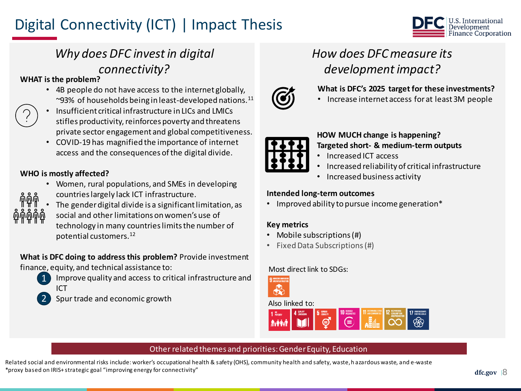# Digital Connectivity (ICT) | Impact Thesis



## *Why does DFC invest in digital connectivity?*

#### **WHAT is the problem?**

- 4B people do not have access to the internet globally, ~93% of households being in least-developed nations. $^{11}$
- Insufficient critical infrastructure in LICs and LMICs stifles productivity, reinforces poverty and threatens private sector engagement and global competitiveness.
- COVID-19 has magnified the importance of internet access and the consequences of the digital divide.

#### **WHO is mostly affected?**

- Women, rural populations, and SMEs in developing
- 

2

- countries largely lack ICT infrastructure.
- The gender digital divide is a significant limitation, as
	- social and other limitations on women's use of technology in many countries limits the number of potential customers.<sup>12</sup>

### **What is DFC doing to address this problem?** Provide investment

- finance, equity, and technical assistance to:
	- Improve quality and access to critical infrastructure and ICT 1
		- Spur trade and economic growth

# *How does DFC measure its development impact?*



#### **What is DFC's 2025 target for these investments?**

• Increase internet access for at least 3M people



#### **HOW MUCH change is happening? Targeted short- & medium-term outputs**

- Increased ICT access
- Increased reliability of critical infrastructure
- Increased business activity

#### **Intended long-term outcomes**

• Improved ability to pursue income generation\*

#### **Key metrics**

- Mobile subscriptions (#)
- Fixed Data Subscriptions (#)

#### Most direct link to SDGs:



#### Also linked to:



#### Other related themes and priorities: Gender Equity, Education

Related social and environmental risks include: worker's occupational health & safety (OHS), community health and safety, waste, h azardous waste, and e-waste \*proxy based on IRIS+ strategic goal "improving energy for connectivity"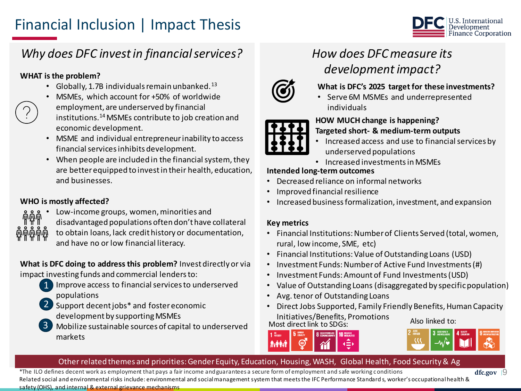# Financial Inclusion | Impact Thesis



# *Why does DFC invest in financial services?*

#### **WHAT is the problem?**

- Globally, 1.7B individuals remain unbanked. $^{13}$
- MSMEs, which account for +50% of worldwide employment, are underserved by financial institutions.<sup>14</sup>MSMEs contribute to job creation and economic development.
- MSME and individual entrepreneur inability to access financial services inhibits development.
- When people are included in the financial system, they are better equipped to invest in their health, education, and businesses.

#### **WHO is mostly affected?**

- Low-income groups, women, minorities and
	- disadvantaged populations often don't have collateral
		- to obtain loans, lack credit history or documentation, and have no or low financial literacy.

#### **What is DFC doing to address this problem?** Invest directly or via impact investing funds and commercial lenders to:

- Improve access to financial services to underserved populations 1
- 2 Support decent jobs\* and foster economic development by supporting MSMEs
- Mobilize sustainable sources of capital to underserved markets 3

# *How does DFC measure its development impact?*



#### **What is DFC's 2025 target for these investments?**

Serve 6M MSMEs and underrepresented individuals



#### **HOW MUCH change is happening? Targeted short- & medium-term outputs**

- Increased access and use to financial services by underserved populations
- Increased investments in MSMEs

#### **Intended long-term outcomes**

- Decreased reliance on informal networks
- Improved financial resilience
- Increased business formalization, investment, and expansion

#### **Key metrics**

- Financial Institutions: Number of Clients Served (total, women, rural, low income, SME, etc)
- Financial Institutions: Value of Outstanding Loans (USD)
- Investment Funds: Number of Active Fund Investments (#)
- Investment Funds: Amount of Fund Investments (USD)
- Value of Outstanding Loans (disaggregated by specific population)
- Avg. tenor of Outstanding Loans
- Direct Jobs Supported, Family Friendly Benefits, Human Capacity

Initiatives/Benefits, Promotions<br>
Most direct link to SDGs: Also linked to:





### Other related themes and priorities: Gender Equity, Education, Housing, WASH, Global Health, Food Security & Ag

\*The ILO defines decent work as employment that pays a fair income and guarantees a secure form of employment and safe working conditions Related social and environmental risks include: environmental and social management system that meets the IFC Performance Standard s, worker's occupational health & safety (OHS), and internal & external grievance mechanisms

**dfc.gov |** 9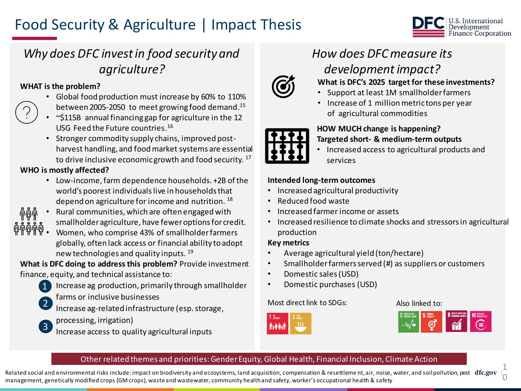# Food Security & Agriculture | Impact Thesis



## *Why does DFC invest in food security and agriculture?*

#### **WHAT is the problem?**

- Global food production must increase by 60% to 110% between 2005-2050 to meet growing food demand.<sup>15</sup>
- $\sim$ \$115B annual financing gap for agriculture in the 12 USG Feed the Future countries. 16
- Stronger commodity supply chains, improved postharvest handling, and food market systems are essential to drive inclusive economic growth and food security.<sup>17</sup>

### **WHO is mostly affected?**

- Low-income, farm dependence households. +2B of the world's poorest individuals live in households that depend on agriculture for income and nutrition.<sup>18</sup>
- Rural communities, which are often engaged with smallholder agriculture, have fewer options for credit.
- Women, who comprise 43% of smallholder farmers globally, often lack access or financial ability to adopt new technologies and quality inputs. <sup>19</sup>

**What is DFC doing to address this problem?** Provide investment finance, equity, and technical assistance to:

- Increase ag production, primarily through smallholder 1
- farms or inclusive businesses 2
	- Increase ag-related infrastructure (esp. storage,
- processing, irrigation) 3
	- Increase access to quality agricultural inputs

# *How does DFC measure its development impact?*



### **What is DFC's 2025 target for these investments?**

- Support at least 1M smallholder farmers
- Increase of 1 million metric tons per year of agricultural commodities



# **HOW MUCH change is happening?**

- **Targeted short- & medium-term outputs**
- Increased access to agricultural products and services

#### **Intended long-term outcomes**

- Increased agricultural productivity
- Reduced food waste
- Increased farmer income or assets
- Increased resilience to climate shocks and stressors in agricultural production

#### **Key metrics**

- Average agricultural yield (ton/hectare)
- Smallholder farmers served (#) as suppliers or customers
- Domestic sales (USD)
- Domestic purchases (USD)

#### Most direct link to SDGs: Also linked to:





#### Other related themes and priorities: Gender Equity, Global Health, Financial Inclusion, Climate Action

Related social and environmental risks include: impact on biodiversity and ecosystems, land acquisition, compensation & resettleme nt, air, noise, water, and soil pollution, pest **dfc.gov** |, 1 0 management, genetically modified crops (GM crops), waste and wastewater, community health and safety, worker's occupational health & safety

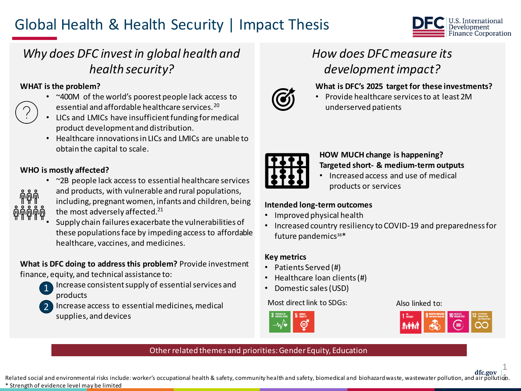# Global Health & Health Security | Impact Thesis



## *Why does DFC invest in global health and health security?*

#### **WHAT is the problem?**

- ~400M of the world's poorest people lack access to essential and affordable healthcare services.<sup>20</sup>
- LICs and LMICs have insufficient funding for medical product development and distribution.
- Healthcare innovations in LICs and LMICs are unable to obtain the capital to scale.

#### **WHO is mostly affected?**

• ~2B people lack access to essential healthcare services



- and products, with vulnerable and rural populations, including, pregnant women, infants and children, being the most adversely affected.<sup>21</sup>
- Supply chain failures exacerbate the vulnerabilities of these populations face by impeding access to affordable healthcare, vaccines, and medicines.

#### **What is DFC doing to address this problem?** Provide investment finance, equity, and technical assistance to:

- Increase consistent supply of essential services and products 1
- 2
	- Increase access to essential medicines, medical supplies, and devices

# *How does DFC measure its development impact?*

#### **What is DFC's 2025 target for these investments?**



• Provide healthcare services to at least 2M underserved patients



#### **HOW MUCH change is happening? Targeted short- & medium-term outputs**

• Increased access and use of medical products or services

#### **Intended long-term outcomes**

- Improved physical health
- Increased country resiliency to COVID-19 and preparedness for future pandemics<sup>38\*</sup>

#### **Key metrics**

- Patients Served (#)
- Healthcare loan clients (#)
- Domestic sales (USD)

#### Most direct link to SDGs: Also linked to:





1

### Other related themes and priorities: Gender Equity, Education

**dfc.gov |**  Related social and environmental risks include: worker's occupational health & safety, community health and safety, biomedical and biohazard waste, wastewater pollution, and air pollution. \* Strength of evidence level may be limited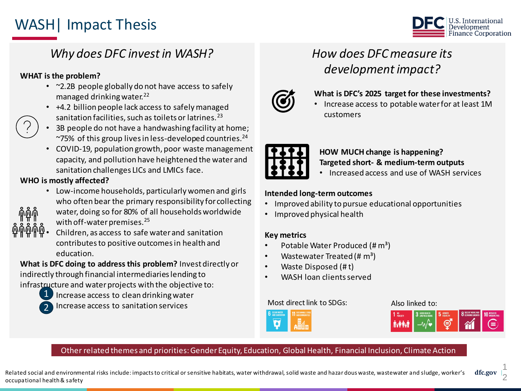# WASH| Impact Thesis



## *Why does DFC invest in WASH?*

#### **WHAT is the problem?**

- ~2.2B people globally do not have access to safely managed drinking water.<sup>22</sup>
- +4.2 billion people lack access to safely managed sanitation facilities, such as toilets or latrines.<sup>23</sup>
- 3B people do not have a handwashing facility at home;  $\sim$ 75% of this group lives in less-developed countries.<sup>24</sup>
- COVID-19, population growth, poor waste management capacity, and pollution have heightened the water and sanitation challenges LICs and LMICs face.

#### **WHO is mostly affected?**

- Low-income households, particularly women and girls who often bear the primary responsibility for collecting
- water, doing so for 80% of all households worldwide
- with off-water premises.<sup>25</sup>



2

• Children, as access to safe water and sanitation contributes to positive outcomes in health and education.

**What is DFC doing to address this problem?** Invest directly or indirectly through financial intermediaries lending to

infrastructure and water projects with the objective to:

- 1 Increase access to clean drinking water
	- Increase access to sanitation services

# *How does DFC measure its development impact?*



#### **What is DFC's 2025 target for these investments?**

• Increase access to potable water for at least 1M customers



### **HOW MUCH change is happening?**

- **Targeted short- & medium-term outputs**
- Increased access and use of WASH services

#### **Intended long-term outcomes**

- Improved ability to pursue educational opportunities
- Improved physical health

#### **Key metrics**

- Potable Water Produced (# m<sup>3</sup>)
- Wastewater Treated (# $\text{m}^3$ )
- Waste Disposed (# t)
- WASH loan clients served

#### Most direct link to SDGs: Also linked to:





#### Other related themes and priorities: Gender Equity, Education, Global Health, Financial Inclusion, Climate Action

**dfc.gov |**  Related social and environmental risks include: impacts to critical or sensitive habitats, water withdrawal, solid waste and hazar dous waste, wastewater and sludge, worker's occupational health & safety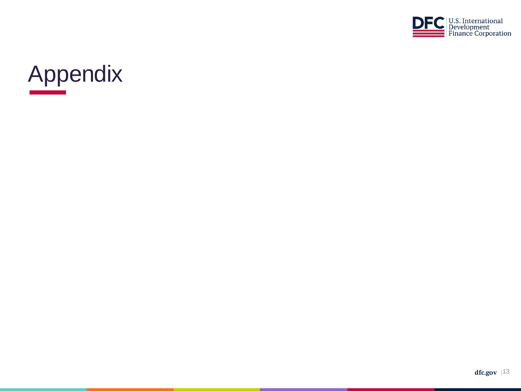

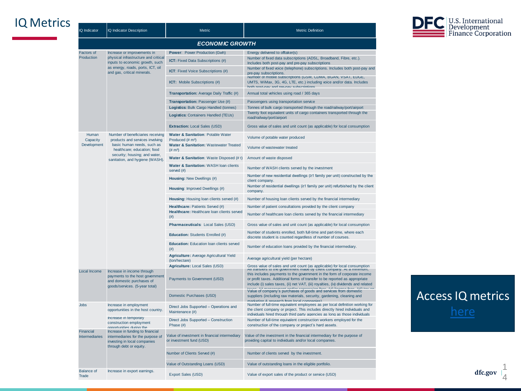### IQ Metrics

| IQ Indicator                       | <b>IQ Indicator Description</b>                                                                                                                                                                       | Metric                                                                         | <b>Metric Definition</b>                                                                                                                                                                                                                                      |
|------------------------------------|-------------------------------------------------------------------------------------------------------------------------------------------------------------------------------------------------------|--------------------------------------------------------------------------------|---------------------------------------------------------------------------------------------------------------------------------------------------------------------------------------------------------------------------------------------------------------|
|                                    |                                                                                                                                                                                                       | <b>ECONOMIC GROWTH</b>                                                         |                                                                                                                                                                                                                                                               |
| <b>Factors of</b>                  | Increase or improvements in                                                                                                                                                                           | <b>Power: Power Production (Gwh)</b>                                           | Energy delivered to offtaker(s)                                                                                                                                                                                                                               |
| Production                         | physical infrastructure and critical<br>inputs to economic growth, such<br>as energy, roads, ports, ICT, oil<br>and gas, critical minerals.                                                           | ICT: Fixed Data Subscriptions (#)                                              | Number of fixed data subscriptions (ADSL, Broadband, Fibre, etc.).<br>Includes both post-pay and pre-pay subscriptions                                                                                                                                        |
|                                    |                                                                                                                                                                                                       | <b>ICT:</b> Fixed Voice Subscriptions (#)                                      | Number of fixed voice (telephone) subscriptions. Includes both post-pay and<br>pre-pay subscriptions.                                                                                                                                                         |
|                                    |                                                                                                                                                                                                       | ICT: Mobile Subscriptions (#)                                                  | Number of mobile subscriptions (GSM, CDMA, BGAN, VSAT, EDGE,<br>UMTS, WiMax, 3G, 4G, LTE, etc.) including voice and/or data. Includes<br>hoth nost-now and nro-now subscriptions                                                                              |
|                                    |                                                                                                                                                                                                       | Transportation: Average Daily Traffic (#)                                      | Annual total vehicles using road / 365 days                                                                                                                                                                                                                   |
|                                    |                                                                                                                                                                                                       | Transportation: Passenger Use (#)                                              | Passengers using transportation service                                                                                                                                                                                                                       |
|                                    |                                                                                                                                                                                                       | Logistics: Bulk Cargo Handled (tonnes)<br>Logistics: Containers Handled (TEUs) | Tonnes of bulk cargo transported through the road/railway/port/airport<br>Twenty foot equivalent units of cargo containers transported through the<br>road/railway/port/airport                                                                               |
|                                    |                                                                                                                                                                                                       | <b>Extraction: Local Sales (USD)</b>                                           | Gross value of sales and unit count (as applicable) for local consumption                                                                                                                                                                                     |
| Human<br>Capacity                  | Number of beneficiaries receiving<br>products and services involving<br>basic human needs, such as<br>healthcare; education; food<br>security; housing; and water,<br>sanitation, and hygiene (WASH). | Water & Sanitation: Potable Water<br>Produced (# m <sup>3</sup> )              | Volume of potable water produced                                                                                                                                                                                                                              |
| Development                        |                                                                                                                                                                                                       | Water & Sanitation: Wastewater Treated<br>$(\# \, m^3)$                        | Volume of wastewater treated                                                                                                                                                                                                                                  |
|                                    |                                                                                                                                                                                                       | Water & Sanitation: Waste Disposed (# t)                                       | Amount of waste disposed                                                                                                                                                                                                                                      |
|                                    |                                                                                                                                                                                                       | Water & Sanitation: WASH loan clients<br>served (#)                            | Number of WASH clients served by the investment                                                                                                                                                                                                               |
|                                    |                                                                                                                                                                                                       | Housing: New Dwellings (#)                                                     | Number of new residential dwellings (≥1 family per unit) constructed by the<br>client company.                                                                                                                                                                |
|                                    |                                                                                                                                                                                                       | Housing: Improved Dwellings (#)                                                | Number of residential dwellings (≥1 family per unit) refurbished by the client<br>company.                                                                                                                                                                    |
|                                    |                                                                                                                                                                                                       | Housing: Housing loan clients served (#)                                       | Number of housing loan clients served by the financial intermediary                                                                                                                                                                                           |
|                                    |                                                                                                                                                                                                       | Healthcare: Patients Served (#)                                                | Number of patient consultations provided by the client company                                                                                                                                                                                                |
|                                    |                                                                                                                                                                                                       | Healthcare: Healthcare loan clients served<br>(# )                             | Number of healthcare loan clients served by the financial intermediary                                                                                                                                                                                        |
|                                    |                                                                                                                                                                                                       | Pharmaceuticals: Local Sales (USD)                                             | Gross value of sales and unit count (as applicable) for local consumption                                                                                                                                                                                     |
|                                    |                                                                                                                                                                                                       | Education: Students Enrolled (#)                                               | Number of students enrolled, both full-time and part-time, where each<br>discrete student is counted regardless of number of courses.                                                                                                                         |
|                                    |                                                                                                                                                                                                       | Education: Education Ioan clients served<br>(# )                               | Number of education loans provided by the financial intermediary.                                                                                                                                                                                             |
|                                    |                                                                                                                                                                                                       | Agriculture: Average Agricultural Yield<br>(ton/hectare)                       | Average agricultural yield (per hectare)                                                                                                                                                                                                                      |
|                                    |                                                                                                                                                                                                       | Agriculture: Local Sales (USD)                                                 | Gross value of sales and unit count (as applicable) for local consumption<br>Air transiers to the government made by cilent company. At a minimum,                                                                                                            |
| Local Income                       | Increase in income through<br>payments to the host government<br>and domestic purchases of<br>goods/services. (5-year total)                                                                          | Payments to Government (USD)                                                   | this includes payments to the government in the form of corporate income<br>or profit taxes. Additional forms of transfer to be reported as appropriate<br>include (i) sales taxes, (ii) net VAT, (iii) royalties, (iv) dividends and related<br>$-0.25 - 11$ |
|                                    |                                                                                                                                                                                                       | Domestic Purchases (USD)                                                       | Value of company's purchases of goods and services from domestic<br>suppliers (including raw materials, security, gardening, cleaning and<br>marketing & research from local companies)                                                                       |
| <b>Jobs</b>                        | Increase in employment<br>opportunities in the host country.                                                                                                                                          | Direct Jobs Supported - Operations and<br>Maintenance (#)                      | Number of full-time equivalent employees as per local definition working for<br>the client company or project. This includes directly hired individuals and<br>individuals hired through third party agencies as long as those individuals                    |
|                                    | Increase in temporary<br>construction employment<br>opportunities during the                                                                                                                          | Direct Jobs Supported - Construction<br>Phase (#)                              | Number of full-time equivalent construction workers employed for the<br>construction of the company or project's hard assets.                                                                                                                                 |
| Financial<br><b>Intermediaries</b> | Increase in funding to financial<br>intermediaries for the purpose of<br>investing in local companies<br>through debt or equity.                                                                      | Value of investment in financial intermediary<br>or investment fund (USD)      | Value of the investment in the financial intermediary for the purpose of<br>providing capital to individuals and/or local companies.                                                                                                                          |
|                                    |                                                                                                                                                                                                       | Number of Clients Served (#)                                                   | Number of clients served by the investment.                                                                                                                                                                                                                   |
|                                    |                                                                                                                                                                                                       | Value of Outstanding Loans (USD)                                               | Value of outstanding loans in the eligible portfolio.                                                                                                                                                                                                         |
| <b>Balance of</b><br>Trade         | Increase in export earnings.                                                                                                                                                                          | Export Sales (USD)                                                             | Value of export sales of the product or service (USD)                                                                                                                                                                                                         |



# Access IQ metrics [here](https://dfcgov.sharepoint.com/:x:/r/sites/ODPToolbox2/_layouts/15/Doc.aspx?sourcedoc=%7BDEB8CCDA-52E3-447F-B5F3-B3EBBDDACE18%7D&file=IQ-Indicators-and-Metrics_with-filter-options.xlsx&action=default&mobileredirect=true&wdLOR=c9A615716-2745-4B33-89C7-39E466A80D3D&cid=8e28467d-0eeb-479f-be70-7a2833ffea06)

**dfc.gov |**  1 4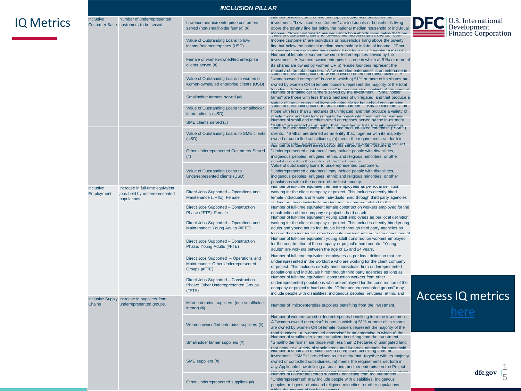### IQ Metrics

| <b>INCLUSION PILLAR</b>           |                                                                                   |                                                                                                |                                                                                                                                                                                                                                                                                                                                                                                                                                                                |  |  |  |
|-----------------------------------|-----------------------------------------------------------------------------------|------------------------------------------------------------------------------------------------|----------------------------------------------------------------------------------------------------------------------------------------------------------------------------------------------------------------------------------------------------------------------------------------------------------------------------------------------------------------------------------------------------------------------------------------------------------------|--|--|--|
| Inclusive<br><b>Customer Base</b> | Number of underrepresented<br>customers to be served.                             | Low-income/microenterprise customers<br>served (non-smallholder farmer) (#)                    | inumber or low-income or microenterprise customers served by the<br>investment. "Low-Income customers" are individuals or households living<br>above the poverty line but below the national median household or individual<br>income "Beer currigmens" are not conite households living below \$2.2 per value of outstanding loans to low-income/microenterprise clients. Low-                                                                                |  |  |  |
|                                   |                                                                                   | Value of Outstanding Loans to low-<br>income/microenterprises (USD)                            | Income customers" are individuals or households living above the poverty<br>line but below the national median household or individual income. "Poor<br>cuetamore" aro nor canita hausobalds living bolow \$3.2 nor day // ISD DDD                                                                                                                                                                                                                             |  |  |  |
|                                   |                                                                                   | Female or women-owned/led enterprise<br>clients served (#)                                     | Number of female or women-owned or led enterprises served by the<br>investment. A "women-owned enterprise" is one in which a) 51% or more of<br>its shares are owned by women OR b) female founders represent the<br>maiority of the total founders. A "women-led enterprise" is an enterprise in value of outstanding loans to women-owned or led enterprise chemis. A                                                                                        |  |  |  |
|                                   |                                                                                   | Value of Outstanding Loans to women or<br>women-owned/led enterprise clients (USD)             | "women-owned enterprise" is one in which a) 51% or more of its shares are<br>owned by women OR b) female founders represent the majority of the total<br>adi la daidur ai anismetra na ai "baixmetra bal tha<br>$A$ <sup>11</sup>                                                                                                                                                                                                                              |  |  |  |
|                                   |                                                                                   | Smallholder farmers served (#)                                                                 | Number of smallholder farmers served by the investment. "Smallholder<br>farms" are those with less than 2 hectares of unirrigated land that produce a<br>variety of stanle crops and livestock primarily for bousebold consumption                                                                                                                                                                                                                             |  |  |  |
|                                   |                                                                                   | Value of Outstanding Loans to smallholder<br>farmer clients (USD)                              | Value of outstanding loans to smallholder farmers. "Smallholder farms" are<br>those with less than 2 hectares of unirrigated land that produce a variety of<br>stanle crons and livestock primarily for bousehold consumption. Farming                                                                                                                                                                                                                         |  |  |  |
|                                   |                                                                                   | SME clients served (#)                                                                         | Number of small and medium-sized enterprises served by the investment.<br>"SMFs" are defined as an entity that together with its maiority-owned or value of outstanding loans to small and medium-sized enterprise ("SME")                                                                                                                                                                                                                                     |  |  |  |
|                                   |                                                                                   | Value of Outstanding Loans to SME clients<br>(USD)                                             | clients. "SMEs" are defined as an entity that, together with its majority-<br>owned or controlled subsidiaries, (a) meets the requirements set forth in<br>number of undertepresented castelliners served by the investment.                                                                                                                                                                                                                                   |  |  |  |
|                                   |                                                                                   | <b>Other Underrepresented Customers Served</b><br>(# )                                         | "Underrepresented customers" may include people with disabilities,<br>indigenous peoples, refugees, ethnic and religious minorities, or other                                                                                                                                                                                                                                                                                                                  |  |  |  |
|                                   |                                                                                   | Value of Outstanding Loans to<br>Underrepresented clients (USD)                                | Value of outstanding loans to underrepresented customers.<br>"Underrepresented customers" may include people with disabilities,<br>indigenous peoples, refugees, ethnic and religious minorities, or other<br>populations within the context of the host country.                                                                                                                                                                                              |  |  |  |
| <b>Inclusive</b><br>Employment    | Increase in full-time equivalent<br>jobs held by underrepresented<br>populations. | Direct Jobs Supported - Operations and<br>Maintenance (#FTE): Female                           | Number of full-time equivalent female employees as per local definition<br>working for the client company or project. This includes directly hired<br>female individuals and female individuals hired through third party agencies<br>ac long ac those individuals provide on site senioes related to the                                                                                                                                                      |  |  |  |
|                                   |                                                                                   | Direct Jobs Supported - Construction<br>Phase (#FTE): Female                                   | Number of full-time equivalent female construction workers employed for the<br>construction of the company or project's hard assets.                                                                                                                                                                                                                                                                                                                           |  |  |  |
|                                   |                                                                                   | Direct Jobs Supported - Operations and<br>Maintenance: Young Adults (#FTE)                     | Number of full-time equivalent young adult employees as per local definition<br>working for the client company or project. This includes directly hired young<br>adults and young adults individuals hired through third party agencies as<br>long as those individuals provide on-site senioes related to the operations of                                                                                                                                   |  |  |  |
|                                   |                                                                                   | Direct Jobs Supported - Construction<br>Phase: Young Adults (#FTE)                             | Number of full-time equivalent young adult construction workers employed<br>for the construction of the company or project's hard assets. "Young<br>adults" are workers between the age of 15 and 24 years.                                                                                                                                                                                                                                                    |  |  |  |
|                                   |                                                                                   | Direct Jobs Supported - Operations and<br>Maintenance: Other Underrepresented<br>Groups (#FTE) | Number of full-time equivalent employees as per local definition that are<br>underrepresented in the workforce who are working for the client company<br>or project. This includes directly hired individuals from underrepresented<br>populations and individuals hired through third party agencies as long as                                                                                                                                               |  |  |  |
|                                   |                                                                                   | Direct Jobs Supported - Construction<br>Phase: Other Underrepresented Groups<br>$($ #FTE $)$   | Number of full-time equivalent construction workers from other<br>underrepresented populations who are employed for the construction of the<br>company or project's hard assets. "Other underrepresented groups" may<br>include people with disabilities, indigenous peoples, refugees, ethnic and                                                                                                                                                             |  |  |  |
| Chains                            | Inclusive Supply Increase in suppliers from<br>underrepresented groups.           | Microenterprise suppliers (non-smallholder<br>farmer) $(\#)$                                   | Number of microenterprise suppliers benefiting from the investment.                                                                                                                                                                                                                                                                                                                                                                                            |  |  |  |
|                                   |                                                                                   | Women-owned/led enterprise suppliers (#)                                                       | Number of women-owned or led enterprises benefiting from the investment.<br>A "women-owned enterprise" is one in which a) 51% or more of its shares<br>are owned by women OR b) female founders represent the majority of the<br>total founders. A "women-led enterorise" is an enterorise in which a) the                                                                                                                                                     |  |  |  |
|                                   |                                                                                   | Smallholder farmer suppliers (#)                                                               | Number of smallholder farmer suppliers benefiting from the investment.<br>"Smallholder farms" are those with less than 2 hectares of unirrigated land                                                                                                                                                                                                                                                                                                          |  |  |  |
|                                   |                                                                                   | SME suppliers (#)                                                                              | that produce a variety of staple crops and livestock primarily for household number or small and medium-sized enterprises benefiting from the<br>investment. "SMEs" are defined as an entity that, together with its majority-<br>owned or controlled subsidiaries, (a) meets the requirements set forth in<br>any Applicable Law defining a small and medium enterprise in the Project<br>Number of underrepresented suppliers behefting from the investment. |  |  |  |
|                                   |                                                                                   | Other Underrepresented suppliers (#)                                                           | "Underrepresented" may include people with disabilities, indigenous<br>peoples, refugees, ethnic and religious minorities, or other populations<br>within the context of the heat county                                                                                                                                                                                                                                                                       |  |  |  |





Access IQ metrics

[here](https://dfcgov.sharepoint.com/:x:/r/sites/ODPToolbox2/_layouts/15/Doc.aspx?sourcedoc=%7BDEB8CCDA-52E3-447F-B5F3-B3EBBDDACE18%7D&file=IQ-Indicators-and-Metrics_with-filter-options.xlsx&action=default&mobileredirect=true&wdLOR=c9A615716-2745-4B33-89C7-39E466A80D3D&cid=8e28467d-0eeb-479f-be70-7a2833ffea06)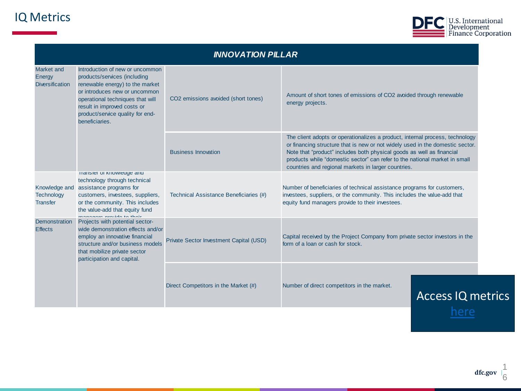### IQ Metrics



| <b>INNOVATION PILLAR</b>                       |                                                                                                                                                                                                                                                              |                                         |                                                                                                                                                                                                                                                                                                                                                                             |                          |  |  |  |
|------------------------------------------------|--------------------------------------------------------------------------------------------------------------------------------------------------------------------------------------------------------------------------------------------------------------|-----------------------------------------|-----------------------------------------------------------------------------------------------------------------------------------------------------------------------------------------------------------------------------------------------------------------------------------------------------------------------------------------------------------------------------|--------------------------|--|--|--|
| Market and<br>Energy<br><b>Diversification</b> | Introduction of new or uncommon<br>products/services (including<br>renewable energy) to the market<br>or introduces new or uncommon<br>operational techniques that will<br>result in improved costs or<br>product/service quality for end-<br>beneficiaries. | CO2 emissions avoided (short tones)     | Amount of short tones of emissions of CO2 avoided through renewable<br>energy projects.                                                                                                                                                                                                                                                                                     |                          |  |  |  |
|                                                |                                                                                                                                                                                                                                                              | <b>Business Innovation</b>              | The client adopts or operationalizes a product, internal process, technology<br>or financing structure that is new or not widely used in the domestic sector.<br>Note that "product" includes both physical goods as well as financial<br>products while "domestic sector" can refer to the national market in small<br>countries and regional markets in larger countries. |                          |  |  |  |
| <b>Technology</b><br><b>Transfer</b>           | Transier or Knowledge and<br>technology through technical<br>Knowledge and assistance programs for<br>customers, investees, suppliers,<br>or the community. This includes<br>the value-add that equity fund<br>ananana nuncida ta thair                      | Technical Assistance Beneficiaries (#)  | Number of beneficiaries of technical assistance programs for customers,<br>investees, suppliers, or the community. This includes the value-add that<br>equity fund managers provide to their investees.                                                                                                                                                                     |                          |  |  |  |
| <b>Demonstration</b><br><b>Effects</b>         | Projects with potential sector-<br>wide demonstration effects and/or<br>employ an innovative financial<br>structure and/or business models<br>that mobilize private sector<br>participation and capital.                                                     | Private Sector Investment Capital (USD) | Capital received by the Project Company from private sector investors in the<br>form of a loan or cash for stock.                                                                                                                                                                                                                                                           |                          |  |  |  |
|                                                |                                                                                                                                                                                                                                                              | Direct Competitors in the Market (#)    | Number of direct competitors in the market.                                                                                                                                                                                                                                                                                                                                 | <b>Access IQ metrics</b> |  |  |  |
|                                                |                                                                                                                                                                                                                                                              |                                         |                                                                                                                                                                                                                                                                                                                                                                             | here                     |  |  |  |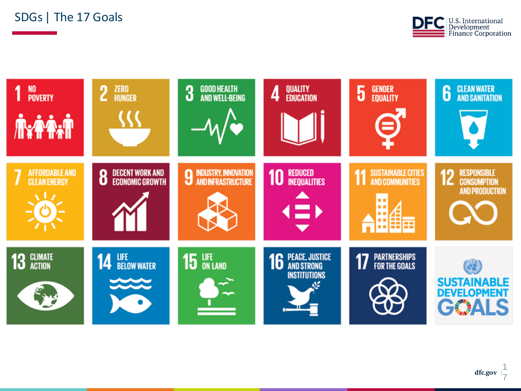